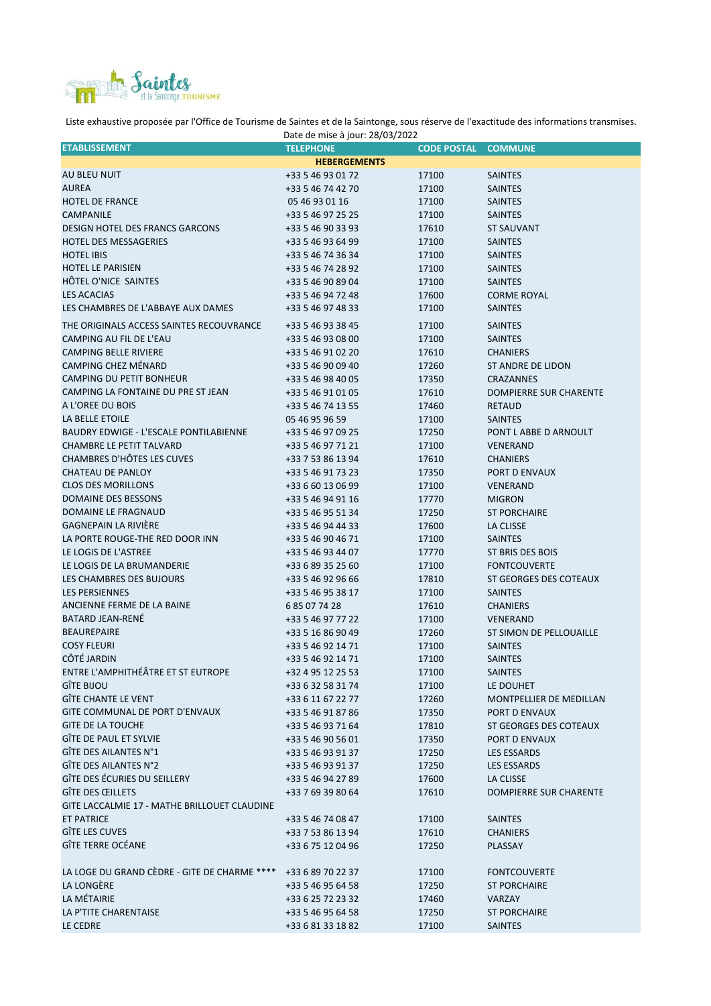

Liste exhaustive proposée par l'Office de Tourisme de Saintes et de la Saintonge, sous réserve de l'exactitude des informations transmises.

| Date de mise à jour: 28/03/2022               |                     |                    |                                |  |  |
|-----------------------------------------------|---------------------|--------------------|--------------------------------|--|--|
| <b>ETABLISSEMENT</b>                          | <b>TELEPHONE</b>    | <b>CODE POSTAL</b> | <b>COMMUNE</b>                 |  |  |
|                                               | <b>HEBERGEMENTS</b> |                    |                                |  |  |
| AU BLEU NUIT                                  | +33 5 46 93 01 72   | 17100              | <b>SAINTES</b>                 |  |  |
| <b>AUREA</b>                                  | +33 5 46 74 42 70   | 17100              | <b>SAINTES</b>                 |  |  |
| <b>HOTEL DE FRANCE</b>                        | 05 46 93 01 16      | 17100              | <b>SAINTES</b>                 |  |  |
| CAMPANILE                                     | +33 5 46 97 25 25   | 17100              | <b>SAINTES</b>                 |  |  |
|                                               |                     |                    |                                |  |  |
| <b>DESIGN HOTEL DES FRANCS GARCONS</b>        | +33 5 46 90 33 93   | 17610              | <b>ST SAUVANT</b>              |  |  |
| <b>HOTEL DES MESSAGERIES</b>                  | +33 5 46 93 64 99   | 17100              | <b>SAINTES</b>                 |  |  |
| <b>HOTEL IBIS</b>                             | +33 5 46 74 36 34   | 17100              | <b>SAINTES</b>                 |  |  |
| <b>HOTEL LE PARISIEN</b>                      | +33 5 46 74 28 92   | 17100              | <b>SAINTES</b>                 |  |  |
| HÔTEL O'NICE SAINTES                          | +33 5 46 90 89 04   | 17100              | <b>SAINTES</b>                 |  |  |
| <b>LES ACACIAS</b>                            | +33 5 46 94 72 48   | 17600              | <b>CORME ROYAL</b>             |  |  |
| LES CHAMBRES DE L'ABBAYE AUX DAMES            | +33 5 46 97 48 33   | 17100              | <b>SAINTES</b>                 |  |  |
| THE ORIGINALS ACCESS SAINTES RECOUVRANCE      | +33 5 46 93 38 45   | 17100              | <b>SAINTES</b>                 |  |  |
| CAMPING AU FIL DE L'EAU                       | +33 5 46 93 08 00   | 17100              | <b>SAINTES</b>                 |  |  |
|                                               |                     |                    |                                |  |  |
| <b>CAMPING BELLE RIVIERE</b>                  | +33 5 46 91 02 20   | 17610              | <b>CHANIERS</b>                |  |  |
| CAMPING CHEZ MÉNARD                           | +33 5 46 90 09 40   | 17260              | <b>ST ANDRE DE LIDON</b>       |  |  |
| CAMPING DU PETIT BONHEUR                      | +33 5 46 98 40 05   | 17350              | <b>CRAZANNES</b>               |  |  |
| CAMPING LA FONTAINE DU PRE ST JEAN            | +33 5 46 91 01 05   | 17610              | <b>DOMPIERRE SUR CHARENTE</b>  |  |  |
| A L'OREE DU BOIS                              | +33 5 46 74 13 55   | 17460              | <b>RETAUD</b>                  |  |  |
| LA BELLE ETOILE                               | 05 46 95 96 59      | 17100              | <b>SAINTES</b>                 |  |  |
| <b>BAUDRY EDWIGE - L'ESCALE PONTILABIENNE</b> | +33 5 46 97 09 25   | 17250              | PONT L ABBE D ARNOULT          |  |  |
| <b>CHAMBRE LE PETIT TALVARD</b>               | +33 5 46 97 71 21   | 17100              | <b>VENERAND</b>                |  |  |
| CHAMBRES D'HÔTES LES CUVES                    | +33 7 53 86 13 94   | 17610              | <b>CHANIERS</b>                |  |  |
| <b>CHATEAU DE PANLOY</b>                      | +33 5 46 91 73 23   | 17350              | PORT D ENVAUX                  |  |  |
|                                               |                     |                    |                                |  |  |
| <b>CLOS DES MORILLONS</b>                     | +33 6 60 13 06 99   | 17100              | <b>VENERAND</b>                |  |  |
| DOMAINE DES BESSONS                           | +33 5 46 94 91 16   | 17770              | <b>MIGRON</b>                  |  |  |
| DOMAINE LE FRAGNAUD                           | +33 5 46 95 51 34   | 17250              | <b>ST PORCHAIRE</b>            |  |  |
| <b>GAGNEPAIN LA RIVIÈRE</b>                   | +33 5 46 94 44 33   | 17600              | LA CLISSE                      |  |  |
| LA PORTE ROUGE-THE RED DOOR INN               | +33 5 46 90 46 71   | 17100              | <b>SAINTES</b>                 |  |  |
| LE LOGIS DE L'ASTREE                          | +33 5 46 93 44 07   | 17770              | ST BRIS DES BOIS               |  |  |
| LE LOGIS DE LA BRUMANDERIE                    | +33 6 89 35 25 60   | 17100              | <b>FONTCOUVERTE</b>            |  |  |
| LES CHAMBRES DES BUJOURS                      | +33 5 46 92 96 66   | 17810              | ST GEORGES DES COTEAUX         |  |  |
| <b>LES PERSIENNES</b>                         | +33 5 46 95 38 17   | 17100              | <b>SAINTES</b>                 |  |  |
| ANCIENNE FERME DE LA BAINE                    | 685077428           | 17610              | <b>CHANIERS</b>                |  |  |
| <b>BATARD JEAN-RENÉ</b>                       | +33 5 46 97 77 22   | 17100              | VENERAND                       |  |  |
|                                               |                     |                    |                                |  |  |
| <b>BEAUREPAIRE</b>                            | +33 5 16 86 90 49   | 17260              | <b>ST SIMON DE PELLOUAILLE</b> |  |  |
| <b>COSY FLEURI</b>                            | +33 5 46 92 14 71   | 17100              | <b>SAINTES</b>                 |  |  |
| CÔTÉ JARDIN                                   | +33 5 46 92 14 71   | 17100              | <b>SAINTES</b>                 |  |  |
| ENTRE L'AMPHITHÉÂTRE ET ST EUTROPE            | +32 4 95 12 25 53   | 17100              | <b>SAINTES</b>                 |  |  |
| <b>GÎTE BIJOU</b>                             | +33 6 32 58 31 74   | 17100              | LE DOUHET                      |  |  |
| <b>GÎTE CHANTE LE VENT</b>                    | +33 6 11 67 22 77   | 17260              | <b>MONTPELLIER DE MEDILLAN</b> |  |  |
| GITE COMMUNAL DE PORT D'ENVAUX                | +33 5 46 91 87 86   | 17350              | PORT D ENVAUX                  |  |  |
| <b>GITE DE LA TOUCHE</b>                      | +33 5 46 93 71 64   | 17810              | ST GEORGES DES COTEAUX         |  |  |
| GÎTE DE PAUL ET SYLVIE                        | +33 5 46 90 56 01   | 17350              | PORT D ENVAUX                  |  |  |
| GÎTE DES AILANTES N°1                         | +33 5 46 93 91 37   | 17250              | <b>LES ESSARDS</b>             |  |  |
| GÎTE DES AILANTES N°2                         |                     |                    |                                |  |  |
| GÎTE DES ÉCURIES DU SEILLERY                  | +33 5 46 93 91 37   | 17250              | <b>LES ESSARDS</b>             |  |  |
|                                               | +33 5 46 94 27 89   | 17600              | LA CLISSE                      |  |  |
| GÎTE DES ŒILLETS                              | +33 7 69 39 80 64   | 17610              | <b>DOMPIERRE SUR CHARENTE</b>  |  |  |
| GITE LACCALMIE 17 - MATHE BRILLOUET CLAUDINE  |                     |                    |                                |  |  |
| <b>ET PATRICE</b>                             | +33 5 46 74 08 47   | 17100              | <b>SAINTES</b>                 |  |  |
| GÎTE LES CUVES                                | +33 7 53 86 13 94   | 17610              | <b>CHANIERS</b>                |  |  |
| <b>GÎTE TERRE OCÉANE</b>                      | +33 6 75 12 04 96   | 17250              | PLASSAY                        |  |  |
|                                               |                     |                    |                                |  |  |
| LA LOGE DU GRAND CÈDRE - GITE DE CHARME ****  | +33 6 89 70 22 37   | 17100              | <b>FONTCOUVERTE</b>            |  |  |
| LA LONGÈRE                                    | +33 5 46 95 64 58   | 17250              | <b>ST PORCHAIRE</b>            |  |  |
| LA MÉTAIRIE                                   | +33 6 25 72 23 32   | 17460              | <b>VARZAY</b>                  |  |  |
| LA P'TITE CHARENTAISE                         | +33 5 46 95 64 58   | 17250              | <b>ST PORCHAIRE</b>            |  |  |
| LE CEDRE                                      | +33 6 81 33 18 82   | 17100              | <b>SAINTES</b>                 |  |  |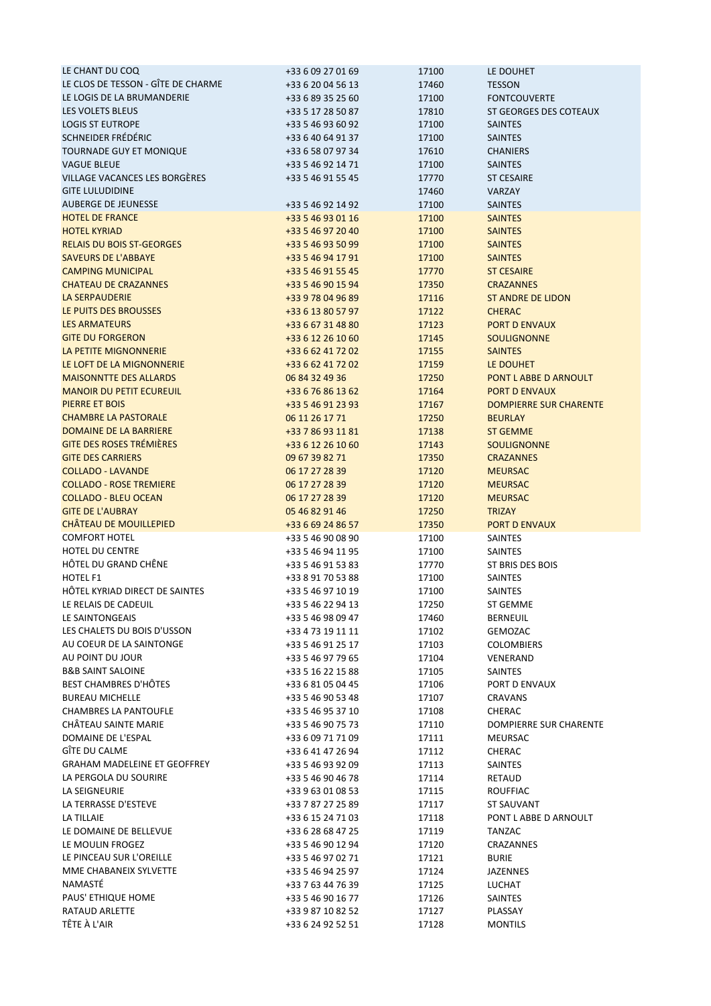| LE CHANT DU COQ                     | +33 6 09 27 01 69 | 17100 | LE DOUHET                     |
|-------------------------------------|-------------------|-------|-------------------------------|
| LE CLOS DE TESSON - GÎTE DE CHARME  | +33 6 20 04 56 13 | 17460 | <b>TESSON</b>                 |
| LE LOGIS DE LA BRUMANDERIE          | +33 6 89 35 25 60 | 17100 | <b>FONTCOUVERTE</b>           |
| LES VOLETS BLEUS                    | +33 5 17 28 50 87 | 17810 | ST GEORGES DES COTEAUX        |
| <b>LOGIS ST EUTROPE</b>             | +33 5 46 93 60 92 | 17100 | <b>SAINTES</b>                |
| SCHNEIDER FRÉDÉRIC                  | +33 6 40 64 91 37 | 17100 | <b>SAINTES</b>                |
| TOURNADE GUY ET MONIQUE             | +33 6 58 07 97 34 | 17610 | <b>CHANIERS</b>               |
| <b>VAGUE BLEUE</b>                  | +33 5 46 92 14 71 | 17100 | <b>SAINTES</b>                |
| VILLAGE VACANCES LES BORGÈRES       | +33 5 46 91 55 45 | 17770 | <b>ST CESAIRE</b>             |
| <b>GITE LULUDIDINE</b>              |                   | 17460 | VARZAY                        |
| <b>AUBERGE DE JEUNESSE</b>          | +33 5 46 92 14 92 | 17100 | <b>SAINTES</b>                |
| <b>HOTEL DE FRANCE</b>              | +33 5 46 93 01 16 | 17100 | <b>SAINTES</b>                |
| <b>HOTEL KYRIAD</b>                 | +33 5 46 97 20 40 | 17100 | <b>SAINTES</b>                |
| <b>RELAIS DU BOIS ST-GEORGES</b>    | +33 5 46 93 50 99 | 17100 | <b>SAINTES</b>                |
| <b>SAVEURS DE L'ABBAYE</b>          | +33 5 46 94 17 91 | 17100 | <b>SAINTES</b>                |
| <b>CAMPING MUNICIPAL</b>            | +33 5 46 91 55 45 | 17770 | <b>ST CESAIRE</b>             |
| <b>CHATEAU DE CRAZANNES</b>         | +33 5 46 90 15 94 | 17350 | <b>CRAZANNES</b>              |
| <b>LA SERPAUDERIE</b>               | +33 9 78 04 96 89 | 17116 | <b>ST ANDRE DE LIDON</b>      |
| LE PUITS DES BROUSSES               | +33 6 13 80 57 97 | 17122 | <b>CHERAC</b>                 |
| <b>LES ARMATEURS</b>                | +33 6 67 31 48 80 | 17123 | <b>PORT D ENVAUX</b>          |
| <b>GITE DU FORGERON</b>             | +33 6 12 26 10 60 | 17145 | <b>SOULIGNONNE</b>            |
| <b>LA PETITE MIGNONNERIE</b>        | +33 6 62 41 72 02 | 17155 | <b>SAINTES</b>                |
| LE LOFT DE LA MIGNONNERIE           | +33 6 62 41 72 02 | 17159 | LE DOUHET                     |
| <b>MAISONNTTE DES ALLARDS</b>       | 06 84 32 49 36    | 17250 | PONT L ABBE D ARNOULT         |
| <b>MANOIR DU PETIT ECUREUIL</b>     | +33 6 76 86 13 62 | 17164 | <b>PORT D ENVAUX</b>          |
| PIERRE ET BOIS                      | +33 5 46 91 23 93 | 17167 | <b>DOMPIERRE SUR CHARENTE</b> |
| <b>CHAMBRE LA PASTORALE</b>         |                   |       |                               |
| DOMAINE DE LA BARRIERE              | 06 11 26 17 71    | 17250 | <b>BEURLAY</b>                |
|                                     | +33 7 86 93 11 81 | 17138 | <b>ST GEMME</b>               |
| <b>GITE DES ROSES TRÉMIÈRES</b>     | +33 6 12 26 10 60 | 17143 | <b>SOULIGNONNE</b>            |
| <b>GITE DES CARRIERS</b>            | 09 67 39 82 71    | 17350 | <b>CRAZANNES</b>              |
| <b>COLLADO - LAVANDE</b>            | 06 17 27 28 39    | 17120 | <b>MEURSAC</b>                |
| <b>COLLADO - ROSE TREMIERE</b>      | 06 17 27 28 39    | 17120 | <b>MEURSAC</b>                |
| <b>COLLADO - BLEU OCEAN</b>         | 06 17 27 28 39    | 17120 | <b>MEURSAC</b>                |
| <b>GITE DE L'AUBRAY</b>             | 05 46 82 91 46    | 17250 | <b>TRIZAY</b>                 |
|                                     |                   |       |                               |
| <b>CHÂTEAU DE MOUILLEPIED</b>       | +33 6 69 24 86 57 | 17350 | <b>PORT D ENVAUX</b>          |
| <b>COMFORT HOTEL</b>                | +33 5 46 90 08 90 | 17100 | <b>SAINTES</b>                |
| HOTEL DU CENTRE                     | +33 5 46 94 11 95 | 17100 | SAINTES                       |
| HÔTEL DU GRAND CHÊNE                | +33 5 46 91 53 83 | 17770 | ST BRIS DES BOIS              |
| HOTEL F1                            | +33 8 91 70 53 88 | 17100 | <b>SAINTES</b>                |
| HÔTEL KYRIAD DIRECT DE SAINTES      | +33 5 46 97 10 19 | 17100 | <b>SAINTES</b>                |
| LE RELAIS DE CADEUIL                | +33 5 46 22 94 13 | 17250 | ST GEMME                      |
| LE SAINTONGEAIS                     | +33 5 46 98 09 47 | 17460 | <b>BERNEUIL</b>               |
| LES CHALETS DU BOIS D'USSON         | +33 4 73 19 11 11 | 17102 | GEMOZAC                       |
| AU COEUR DE LA SAINTONGE            | +33 5 46 91 25 17 | 17103 | <b>COLOMBIERS</b>             |
| AU POINT DU JOUR                    | +33 5 46 97 79 65 | 17104 | VENERAND                      |
| <b>B&amp;B SAINT SALOINE</b>        | +33 5 16 22 15 88 | 17105 | <b>SAINTES</b>                |
| <b>BEST CHAMBRES D'HÔTES</b>        | +33 6 81 05 04 45 | 17106 | PORT D ENVAUX                 |
| <b>BUREAU MICHELLE</b>              | +33 5 46 90 53 48 | 17107 | <b>CRAVANS</b>                |
| <b>CHAMBRES LA PANTOUFLE</b>        | +33 5 46 95 37 10 | 17108 | CHERAC                        |
| CHÂTEAU SAINTE MARIE                | +33 5 46 90 75 73 | 17110 | DOMPIERRE SUR CHARENTE        |
| DOMAINE DE L'ESPAL                  | +33 6 09 71 71 09 | 17111 | MEURSAC                       |
| GÎTE DU CALME                       | +33 6 41 47 26 94 | 17112 | <b>CHERAC</b>                 |
| <b>GRAHAM MADELEINE ET GEOFFREY</b> | +33 5 46 93 92 09 | 17113 | SAINTES                       |
| LA PERGOLA DU SOURIRE               | +33 5 46 90 46 78 | 17114 | RETAUD                        |
| LA SEIGNEURIE                       | +33 9 63 01 08 53 | 17115 | <b>ROUFFIAC</b>               |
| LA TERRASSE D'ESTEVE                | +33 7 87 27 25 89 | 17117 | ST SAUVANT                    |
| LA TILLAIE                          | +33 6 15 24 71 03 | 17118 | PONT L ABBE D ARNOULT         |
| LE DOMAINE DE BELLEVUE              | +33 6 28 68 47 25 | 17119 | TANZAC                        |
| LE MOULIN FROGEZ                    | +33 5 46 90 12 94 | 17120 | CRAZANNES                     |
| LE PINCEAU SUR L'OREILLE            | +33 5 46 97 02 71 | 17121 | <b>BURIE</b>                  |
| MME CHABANEIX SYLVETTE              | +33 5 46 94 25 97 | 17124 | <b>JAZENNES</b>               |
| NAMASTÉ                             | +33 7 63 44 76 39 | 17125 | <b>LUCHAT</b>                 |
| PAUS' ETHIQUE HOME                  | +33 5 46 90 16 77 | 17126 | SAINTES                       |
| RATAUD ARLETTE                      | +33 9 87 10 82 52 | 17127 | PLASSAY                       |
| TÊTE À L'AIR                        | +33 6 24 92 52 51 | 17128 | <b>MONTILS</b>                |